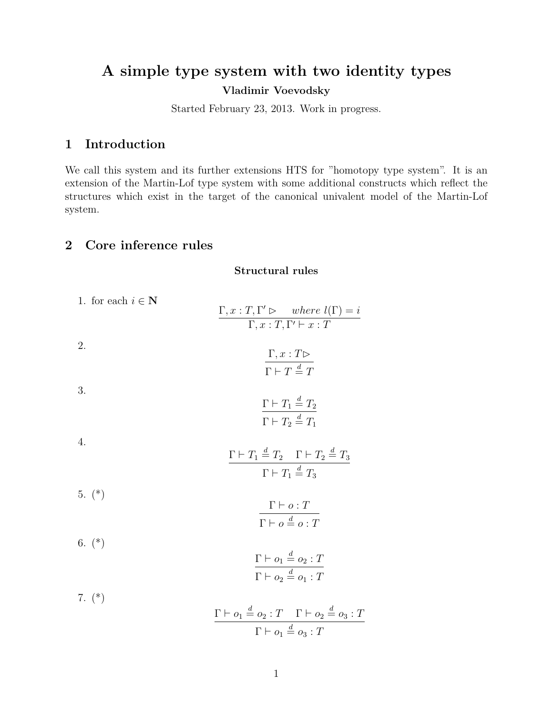# **A simple type system with two identity types Vladimir Voevodsky**

Started February 23, 2013. Work in progress.

## **1 Introduction**

We call this system and its further extensions HTS for "homotopy type system". It is an extension of the Martin-Lof type system with some additional constructs which reflect the structures which exist in the target of the canonical univalent model of the Martin-Lof system.

## **2 Core inference rules**

**Structural rules**

| 1. for each $i \in \mathbb{N}$ | $\Gamma, x : T, \Gamma' \triangleright \text{ where } l(\Gamma) = i$<br>$\Gamma, x : T, \Gamma' \vdash x : T$                  |  |
|--------------------------------|--------------------------------------------------------------------------------------------------------------------------------|--|
| 2.                             | $\Gamma, x : T \triangleright$<br>$\Gamma \vdash T \stackrel{d}{=} T$                                                          |  |
| 3.                             | $\Gamma \vdash T_1 \stackrel{d}{=} T_2$<br>$\Gamma \vdash T_2 \stackrel{d}{=} T_1$                                             |  |
| 4.                             | $\Gamma \vdash T_1 \stackrel{d}{=} T_2 \quad \Gamma \vdash T_2 \stackrel{d}{=} T_3$<br>$\Gamma \vdash T_1 \stackrel{d}{=} T_3$ |  |
| $5.$ $(*)$                     | $\Gamma \vdash o : T$<br>$\Gamma \vdash o \stackrel{d}{=} o \cdot T$                                                           |  |
| 6. $(*)$                       | $\Gamma \vdash o_1 \stackrel{d}{=} o_2 : T$<br>$\Gamma\vdash o_2\stackrel{d}{=} o_1:T$                                         |  |
| 7. $(*)$                       | $\Gamma \vdash o_1 \stackrel{d}{=} o_2 : T \quad \Gamma \vdash o_2 \stackrel{d}{=} o_3 : T$                                    |  |

$$
\frac{\Gamma \vdash o_1 = o_2 \cdot T \quad \Gamma \vdash o_2 = c}{\Gamma \vdash o_1 \stackrel{d}{=} o_3 \cdot T}
$$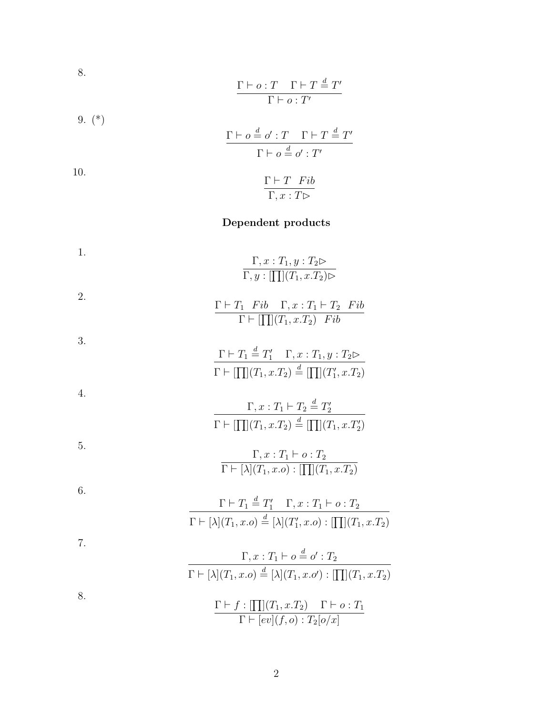8.  
\n
$$
\frac{\Gamma \vdash o : T \quad \Gamma \vdash T \stackrel{d}{=} T'}{\Gamma \vdash o : T'}
$$
\n9. (\*)  
\n
$$
\frac{\Gamma \vdash o \stackrel{d}{=} o' : T \quad \Gamma \vdash T \stackrel{d}{=} T'}{\Gamma \vdash o \stackrel{d}{=} o' : T'}
$$
\n10.  
\n
$$
\frac{\Gamma \vdash T \quad Fib}{\Gamma, x : T \triangleright}
$$

# **Dependent products**

1.  
\n1.  
\n
$$
\frac{\Gamma, x : T_1, y : T_2 \triangleright}{\Gamma, y : [\Pi](T_1, x.T_2) \triangleright}
$$
\n2.  
\n
$$
\frac{\Gamma \vdash T_1 \quad Fib \quad \Gamma, x : T_1 \vdash T_2 \quad Fib}{\Gamma \vdash [\Pi](T_1, x.T_2) \quad Fib}
$$
\n3.  
\n
$$
\frac{\Gamma \vdash T_1 \stackrel{d}{=} T_1' \quad \Gamma, x : T_1, y : T_2 \triangleright}{\Gamma \vdash [\Pi](T_1, x.T_2) \stackrel{d}{=} [\Pi](T_1', x.T_2)}
$$
\n4.  
\n
$$
\frac{\Gamma, x : T_1 \vdash T_2 \stackrel{d}{=} T_2'}{\Gamma \vdash [\Pi](T_1, x.T_2) \stackrel{d}{=} [\Pi](T_1, x.T_2')}
$$
\n5.  
\n
$$
\frac{\Gamma, x : T_1 \vdash o : T_2}{\Gamma \vdash [\lambda](T_1, x.o) : [\Pi](T_1, x.T_2)}
$$
\n6.  
\n
$$
\frac{\Gamma \vdash T_1 \stackrel{d}{=} T_1' \quad \Gamma, x : T_1 \vdash o : T_2}{\Gamma \vdash [\lambda](T_1, x.o) \stackrel{d}{=} [\lambda](T_1', x.o) : [\Pi](T_1, x.T_2)}
$$
\n7.  
\n
$$
\frac{\Gamma, x : T_1 \vdash o \stackrel{d}{=} o' : T_2}{\Gamma \vdash [\lambda](T_1, x.o) \stackrel{d}{=} [\lambda](T_1, x.o') : [\Pi](T_1, x.T_2)}
$$
\n8.  
\n
$$
\frac{\Gamma \vdash f : [\Pi](T_1, x.T_2) \quad \Gamma \vdash o : T_1}{\Gamma \vdash [\lambda](T_1, x.T_2) \quad \Gamma \vdash o : T_1}
$$

2

 $\Gamma \vdash [ev](f, o) : T_2[o/x]$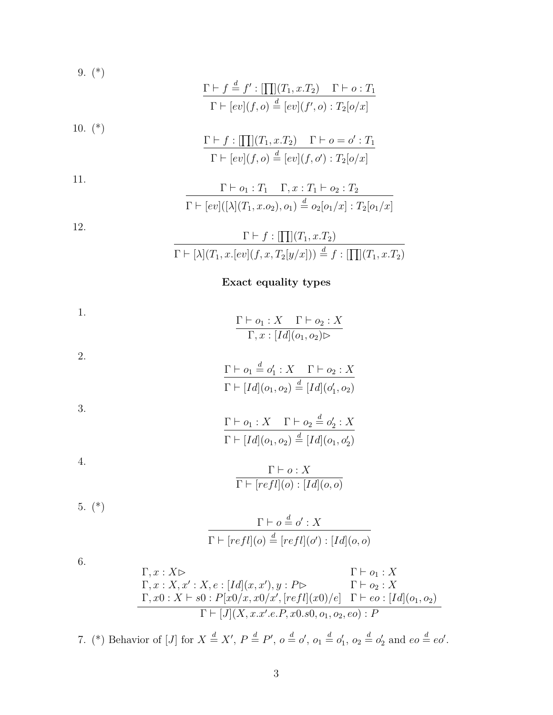9. (\*)  
\n
$$
\frac{\Gamma \vdash f \stackrel{d}{=} f': [\prod](T_1, x.T_2) \quad \Gamma \vdash o : T_1}{\Gamma \vdash [ev](f, o) \stackrel{d}{=} [ev](f', o) : T_2[o/x]}
$$
\n10. (\*)  
\n
$$
\frac{\Gamma \vdash f : [\prod](T_1, x.T_2) \quad \Gamma \vdash o = o' : T_1}{\Gamma \vdash [ev](f, o) \stackrel{d}{=} [ev](f, o') : T_2[o/x]}
$$
\n11.

$$
\frac{\Gamma \vdash o_1 : T_1 \quad \Gamma, x : T_1 \vdash o_2 : T_2}{\Gamma \vdash [ev]([\lambda](T_1, x.o_2), o_1) \stackrel{d}{=} o_2[o_1/x] : T_2[o_1/x]}
$$

$$
\frac{\Gamma \vdash f : [\prod](T_1, x.T_2)}{\Gamma \vdash [\lambda](T_1, x.[ev](f, x, T_2[y/x])) \stackrel{d}{=} f : [\prod](T_1, x.T_2)}
$$

#### **Exact equality types**

1. 
$$
\frac{\Gamma \vdash o_1 : X \quad \Gamma \vdash o_2 : X}{\Gamma, x : [Id](o_1, o_2) \rhd}
$$

2.  
\n
$$
\frac{\Gamma \vdash o_1 \stackrel{d}{=} o'_1 : X \quad \Gamma \vdash o_2 : X}{\Gamma \vdash [Id](o_1, o_2) \stackrel{d}{=} [Id](o'_1, o_2)}
$$
\n3.  
\n
$$
\frac{\Gamma \vdash o_1 : X \quad \Gamma \vdash o_2 \stackrel{d}{=} o'_2 : X}{\Gamma \vdash o_2 \vdash o'_2 : X}
$$

$$
\Gamma \vdash [Id](o_1, o_2) \stackrel{d}{=} [Id](o_1, o'_2)
$$
  

$$
\Gamma \vdash o: X
$$

$$
\Gamma \vdash [refl](o) : [Id](o, o)
$$

$$
5. (*)
$$

4.

12.

$$
\frac{\Gamma \vdash o \stackrel{d}{=} o' : X}{\Gamma \vdash [refl](o) \stackrel{d}{=} [refl](o') : [Id](o, o)}
$$

6.

$$
\Gamma, x: X \rightharpoonup \Gamma, x: X, e: [Id](x, x'), y: P \rightharpoonup \Gamma \vdash o_2: X \n\Gamma, x0: X \rightharpoonup s0: P[x0/x, x0/x', [refl](x0)/e] \Gamma \vdash eo: [Id](o_1, o_2) \n\Gamma \vdash [J](X, x.x'.e.P, x0.s0, o_1, o_2, eo): P
$$

7. (\*) Behavior of [J] for  $X \stackrel{d}{=} X'$ ,  $P \stackrel{d}{=} P'$ ,  $o \stackrel{d}{=} o'$ ,  $o_1 \stackrel{d}{=} o'_1$ ,  $o_2 \stackrel{d}{=} o'_2$  and  $eo \stackrel{d}{=} eo'$ .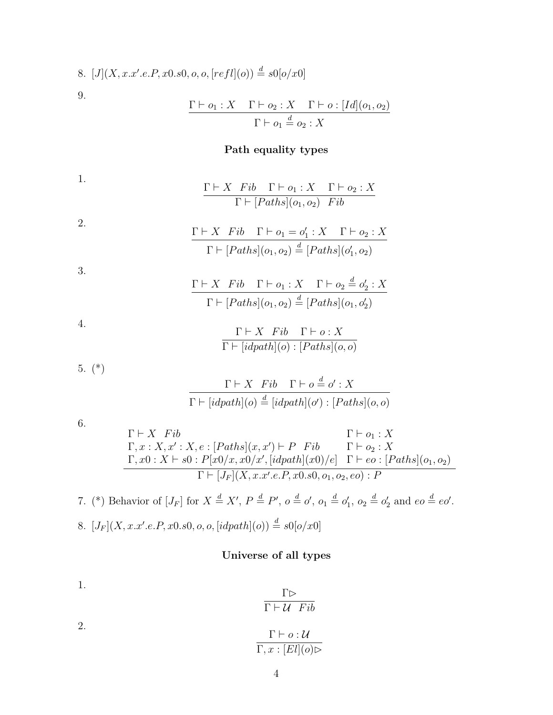8. 
$$
[J](X, x.x'.e.P, x0.s0, o, o, [refl](o)) \stackrel{d}{=} s0[o/x0]
$$
  
\n9. 
$$
\frac{\Gamma \vdash o_1 : X \quad \Gamma \vdash o_2 : X \quad \Gamma \vdash o : [Id](o_1, o_2)}{\Gamma \vdash o_1 \stackrel{d}{=} o_2 : X}
$$

#### **Path equality types**

1. Γ *⊢ X F ib* Γ *⊢ o*<sup>1</sup> : *X* Γ *⊢ o*<sup>2</sup> : *X*  $\Gamma \vdash [Paths](o_1, o_2)$  *Fib* 

2. 
$$
\frac{\Gamma \vdash X \quad Fib \quad \Gamma \vdash o_1 = o'_1 : X \quad \Gamma \vdash o_2 : X}{\Gamma \vdash [Paths](o_1, o_2) \stackrel{d}{=} [Paths](o'_1, o_2)}
$$

3.

$$
\frac{\Gamma \vdash X \quad Fib \quad \Gamma \vdash o_1 : X \quad \Gamma \vdash o_2 \stackrel{d}{=} o'_2 : X}{\Gamma \vdash [Paths](o_1, o_2) \stackrel{d}{=} [Paths](o_1, o'_2)}
$$

4.

$$
\frac{\Gamma \vdash X \quad Fib \quad \Gamma \vdash o : X}{\Gamma \vdash [idpath](o) : [Paths](o, o)}
$$

5. (\*)

$$
\frac{\Gamma \vdash X \quad Fib \quad \Gamma \vdash o \stackrel{d}{=} o' : X}{\Gamma \vdash [idpath](o) \stackrel{d}{=} [idpath](o') : [Paths](o, o)}
$$

6.

$$
\Gamma \vdash X \quad Fib\n\Gamma, x: X, x': X, e: [Paths](x, x') \vdash P \quad Fib\n\Gamma \vdash o_2: X\n\Gamma, x0: X \vdash s0: P[x0/x, x0/x', [idpath](x0)/e] \quad \Gamma \vdash eo: [Paths](o_1, o_2)\n\Gamma \vdash [J_F](X, x.x'.e.P, x0.s0, o_1, o_2, eo): P
$$

7. (\*) Behavior of 
$$
[J_F]
$$
 for  $X \stackrel{d}{=} X'$ ,  $P \stackrel{d}{=} P'$ ,  $o \stackrel{d}{=} o'$ ,  $o_1 \stackrel{d}{=} o'_1$ ,  $o_2 \stackrel{d}{=} o'_2$  and  $eo \stackrel{d}{=} eo'$ .  
\n8.  $[J_F](X, x.x'.e.P, x0.s0, o, o, [idpath](o)) \stackrel{d}{=} s0[o/x0]$ 

## **Universe of all types**

1. 
$$
\frac{\Gamma \rhd}{\Gamma \vdash \mathcal{U} \quad Fib}
$$
  
2. 
$$
\frac{\Gamma \vdash o : \mathcal{U}}{\Gamma, x : [El](o) \rhd}
$$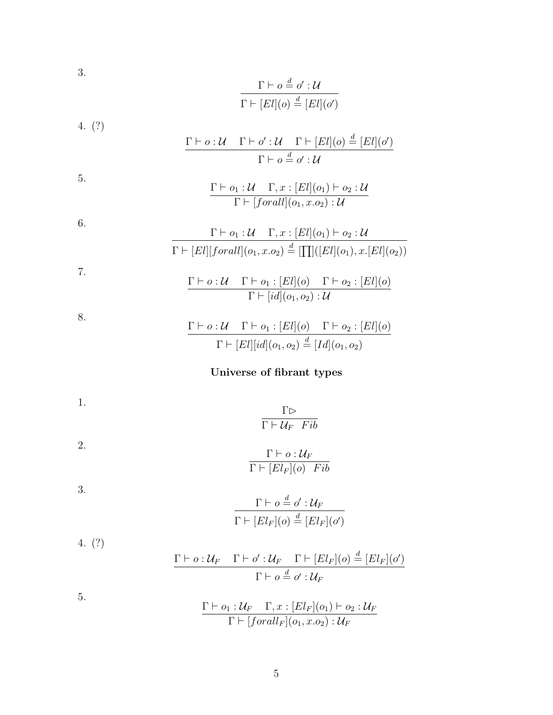$$
\frac{\Gamma \vdash o \stackrel{d}{=} o' : \mathcal{U}}{\Gamma \vdash [El](o) \stackrel{d}{=} [El](o')}
$$

4. (?)

3.

$$
\frac{\Gamma \vdash o : \mathcal{U} \quad \Gamma \vdash o' : \mathcal{U} \quad \Gamma \vdash [El](o) \stackrel{d}{=} [El](o')}{\Gamma \vdash o \stackrel{d}{=} o' : \mathcal{U}}
$$

5.  
\n
$$
\frac{\Gamma \vdash o_1 : \mathcal{U} \quad \Gamma, x : [El](o_1) \vdash o_2 : \mathcal{U}}{\Gamma \vdash [for all](o_1, x.o_2) : \mathcal{U}}
$$

6.  
\n
$$
\Gamma \vdash o_1: \mathcal{U} \quad \Gamma, x : [El](o_1) \vdash o_2 : \mathcal{U}
$$
\n
$$
\Gamma \vdash [El][forall](o_1, x.o_2) \stackrel{d}{=} [\prod] ([El](o_1), x . [El](o_2))
$$

7.  
\n
$$
\frac{\Gamma \vdash o: \mathcal{U} \quad \Gamma \vdash o_1 : [El](o) \quad \Gamma \vdash o_2 : [El](o)}{\Gamma \vdash [id](o_1, o_2) : \mathcal{U}}
$$

$$
\frac{\Gamma \vdash o : \mathcal{U} \quad \Gamma \vdash o_1 : [El](o) \quad \Gamma \vdash o_2 : [El](o)}{\Gamma \vdash [El][id](o_1, o_2) \stackrel{d}{=} [Id](o_1, o_2)}
$$

# **Universe of fibrant types**

1. 
$$
\frac{\Gamma \rhd}{\Gamma \vdash \mathcal{U}_F \quad Fib}
$$
2.

$$
\dfrac{\Gamma\vdash o:\mathcal{U}_F}{\Gamma\vdash [El_F](o)\quad Fib}
$$

3.

8.

$$
\frac{\Gamma \vdash o \stackrel{d}{=} o' : \mathcal{U}_F}{\Gamma \vdash [El_F](o) \stackrel{d}{=} [El_F](o')}
$$

4. (?)  
\n
$$
\frac{\Gamma \vdash o: \mathcal{U}_F \quad \Gamma \vdash o': \mathcal{U}_F \quad \Gamma \vdash [El_F](o) \stackrel{d}{=} [El_F](o')}
$$
\n
$$
\Gamma \vdash o \stackrel{d}{=} o': \mathcal{U}_F
$$

5.

$$
\frac{\Gamma \vdash o_1: \mathcal{U}_F \quad \Gamma, x: [El_F](o_1) \vdash o_2: \mathcal{U}_F}{\Gamma \vdash [forall_F](o_1, x.o_2): \mathcal{U}_F}
$$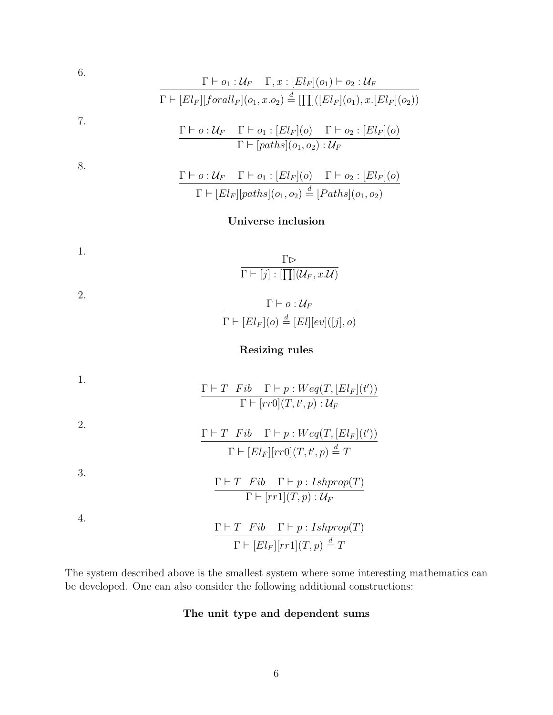6.  
\n
$$
\frac{\Gamma \vdash o_1 : \mathcal{U}_F \quad \Gamma, x : [El_F](o_1) \vdash o_2 : \mathcal{U}_F}{\Gamma \vdash [El_F][forall_F](o_1, x.o_2) \stackrel{d}{=} [\prod] ([El_F](o_1), x . [El_F](o_2))}
$$
\n7.  
\n
$$
\frac{\Gamma \vdash o : \mathcal{U}_F \quad \Gamma \vdash o_1 : [El_F](o) \quad \Gamma \vdash o_2 : [El_F](o)}{\Gamma \vdash [paths](o_1, o_2) : \mathcal{U}_F}
$$
\n8.  
\n8.  
\n
$$
\frac{\Gamma \vdash o : \mathcal{U}_F \quad \Gamma \vdash o_1 : [El_F](o) \quad \Gamma \vdash o_2 : [El_F](o)}{\Gamma \vdash o_2 : [El_F](o)}
$$

# $\Gamma \vdash [El_F][paths](o_1, o_2) \stackrel{d}{=} [Paths](o_1, o_2)$

## **Universe inclusion**

1. 
$$
\frac{\Gamma \rhd}{\Gamma \vdash [j] : [\prod] (\mathcal{U}_F, x \mathcal{U})}
$$
2. 
$$
\Gamma \vdash \varphi : \mathcal{U}
$$

$$
\frac{\Gamma \vdash o : \mathcal{U}_F}{\Gamma \vdash [El_F](o) \stackrel{d}{=} [El][ev]([j], o)}
$$

## **Resizing rules**

1.  
\n
$$
\frac{\Gamma \vdash T \quad Fib \quad \Gamma \vdash p : Weq(T, [El_F](t'))}{\Gamma \vdash [rr0](T, t', p) : \mathcal{U}_F}
$$
\n2.  
\n2.  
\n
$$
\frac{\Gamma \vdash T \quad Fib \quad \Gamma \vdash p : Weq(T, [El_F](t'))}{\Gamma \vdash [El_F][rr0](T, t', p) \stackrel{d}{=} T}
$$
\n3.  
\n3.  
\n
$$
\frac{\Gamma \vdash T \quad Fib \quad \Gamma \vdash p : Ishprop(T)}{\Gamma \vdash [rr1](T, p) : \mathcal{U}_F}
$$
\n4.  
\n4.  
\n
$$
\frac{\Gamma \vdash T \quad Fib \quad \Gamma \vdash p : Ishprop(T)}{\Gamma \vdash [El_F][rr1](T, p) \stackrel{d}{=} T}
$$

The system described above is the smallest system where some interesting mathematics can be developed. One can also consider the following additional constructions:

## **The unit type and dependent sums**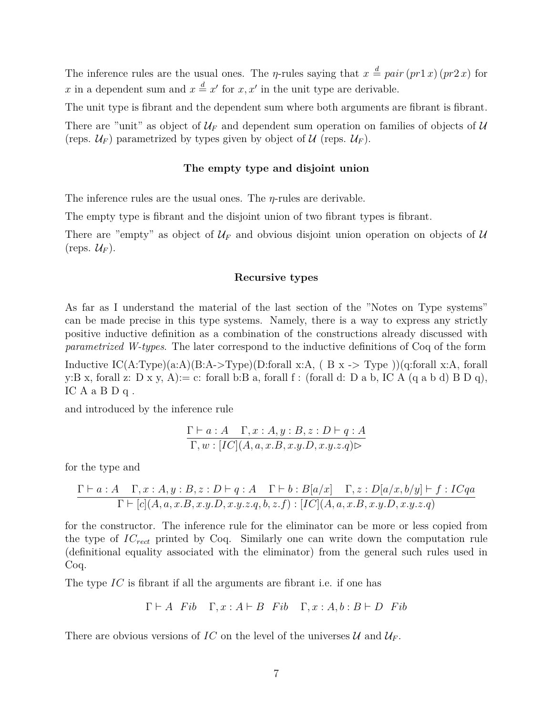The inference rules are the usual ones. The *η*-rules saying that  $x \stackrel{d}{=} pair (pr1 x) (pr2 x)$  for *x* in a dependent sum and  $x \stackrel{d}{=} x'$  for  $x, x'$  in the unit type are derivable.

The unit type is fibrant and the dependent sum where both arguments are fibrant is fibrant.

There are "unit" as object of  $U_F$  and dependent sum operation on families of objects of U (reps.  $\mathcal{U}_F$ ) parametrized by types given by object of  $\mathcal{U}$  (reps.  $\mathcal{U}_F$ ).

#### **The empty type and disjoint union**

The inference rules are the usual ones. The *η*-rules are derivable.

The empty type is fibrant and the disjoint union of two fibrant types is fibrant.

There are "empty" as object of  $U_F$  and obvious disjoint union operation on objects of  $U$  $(\text{reps. } \mathcal{U}_F).$ 

#### **Recursive types**

As far as I understand the material of the last section of the "Notes on Type systems" can be made precise in this type systems. Namely, there is a way to express any strictly positive inductive definition as a combination of the constructions already discussed with *parametrized W-types*. The later correspond to the inductive definitions of Coq of the form

Inductive  $\rm IC(A:Type)(a:A)(B:A>Type)(D:for all x:A, (B x \gtgt; Type))(q:for all x:A, for all$ y:B x, forall z: D x y, A):= c: forall b:B a, forall f : (forall d: D a b, IC A (q a b d) B D q), IC A a B D q .

and introduced by the inference rule

$$
\frac{\Gamma\vdash a:A\quad \Gamma,x:A,y:B,z:D\vdash q:A}{\Gamma,w:[IC](A,a,x.B,x.y.D,x.y.z.q)\rhd}
$$

for the type and

$$
\frac{\Gamma\vdash a:A\quad\Gamma,x:A,y:B,z:D\vdash q:A\quad\Gamma\vdash b:B[a/x]\quad\Gamma,z:D[a/x,b/y]\vdash f:ICqa}{\Gamma\vdash[c](A,a,x.B,x.y.D,x.y.z.q,b,z.f):[IC](A,a,x.B,x.y.D,x.y.z.q)}
$$

for the constructor. The inference rule for the eliminator can be more or less copied from the type of *ICrect* printed by Coq. Similarly one can write down the computation rule (definitional equality associated with the eliminator) from the general such rules used in Coq.

The type *IC* is fibrant if all the arguments are fibrant i.e. if one has

$$
\Gamma \vdash A
$$
 Fib  $\Gamma, x : A \vdash B$  Fib  $\Gamma, x : A, b : B \vdash D$  Fib

There are obvious versions of *IC* on the level of the universes  $U$  and  $U_F$ .